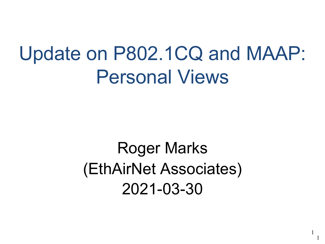# Update on P802.1CQ and MAAP: Personal Views

Roger Marks (EthAirNet Associates) 2021-03-30

1

1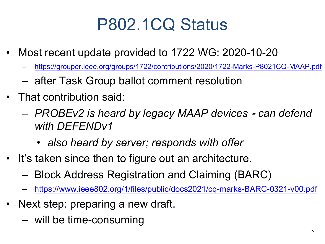## P802.1CQ Status

- Most recent update provided to 1722 WG: 2020-10-20
	- https://grouper.ieee.org/groups/1722/contributions/2020/1722-Marks-P8021
	- [after Task Group ballot comment resolution](https://www.ieee802.org/1/files/public/docs2021/cq-marks-BARC-0321-v00.pdf)
- That contribution said:
	- *PROBEv2 is heard by legacy MAAP devices* ⁃ *can defend with DEFENDv1*
		- *also heard by server; responds with offer*
- It's taken since then to figure out an architecture.
	- Block Address Registration and Claiming (BARC)
	- https://www.ieee802.org/1/files/public/docs2021/cq-marks-BARC-03
- Next step: preparing a new draft.
	- will be time-consuming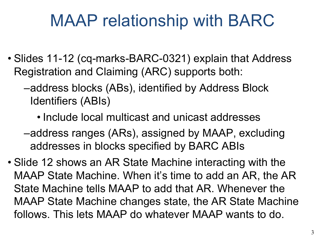#### MAAP relationship with BARC

- Slides 11-12 (cq-marks-BARC-0321) explain that Address Registration and Claiming (ARC) supports both:
	- –address blocks (ABs), identified by Address Block Identifiers (ABIs)
		- Include local multicast and unicast addresses
	- –address ranges (ARs), assigned by MAAP, excluding addresses in blocks specified by BARC ABIs
- Slide 12 shows an AR State Machine interacting with the MAAP State Machine. When it's time to add an AR, the AR State Machine tells MAAP to add that AR. Whenever the MAAP State Machine changes state, the AR State Machine follows. This lets MAAP do whatever MAAP wants to do.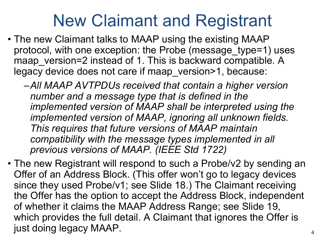#### New Claimant and Registrant

- The new Claimant talks to MAAP using the existing MAAP protocol, with one exception: the Probe (message\_type=1) uses maap version=2 instead of 1. This is backward compatible. A legacy device does not care if maap\_version>1, because:
	- –*All MAAP AVTPDUs received that contain a higher version number and a message type that is defined in the implemented version of MAAP shall be interpreted using the implemented version of MAAP, ignoring all unknown fields. This requires that future versions of MAAP maintain compatibility with the message types implemented in all previous versions of MAAP. (IEEE Std 1722)*
- The new Registrant will respond to such a Probe/v2 by sending an Offer of an Address Block. (This offer won't go to legacy devices since they used Probe/v1; see Slide 18.) The Claimant receiving the Offer has the option to accept the Address Block, independent of whether it claims the MAAP Address Range; see Slide 19, which provides the full detail. A Claimant that ignores the Offer is just doing legacy MAAP.  $\frac{4}{4}$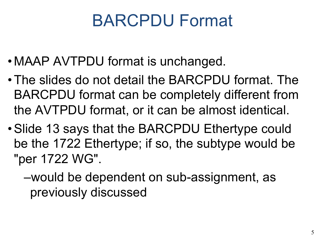### BARCPDU Format

- •MAAP AVTPDU format is unchanged.
- •The slides do not detail the BARCPDU format. The BARCPDU format can be completely different from the AVTPDU format, or it can be almost identical.
- •Slide 13 says that the BARCPDU Ethertype could be the 1722 Ethertype; if so, the subtype would be "per 1722 WG".

–would be dependent on sub-assignment, as previously discussed